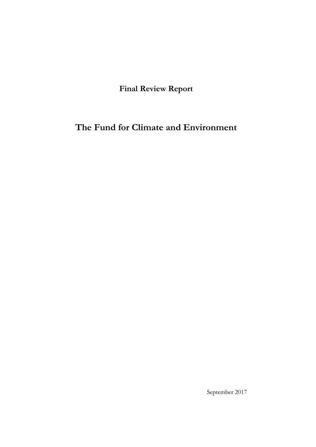**Final Review Report**

**The Fund for Climate and Environment**

September 2017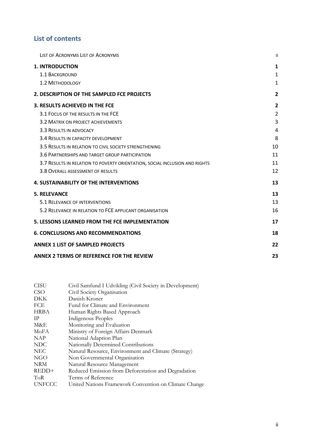## **List of contents**

| LIST OF ACRONYMS LIST OF ACRONYMS                                           | $\mathbf{I}$            |
|-----------------------------------------------------------------------------|-------------------------|
| <b>1. INTRODUCTION</b>                                                      | 1                       |
| 1.1 BACKGROUND                                                              | $\mathbf{1}$            |
| 1.2 METHODOLOGY                                                             | $\mathbf{1}$            |
| 2. DESCRIPTION OF THE SAMPLED FCE PROJECTS                                  | $\overline{2}$          |
| 3. RESULTS ACHIEVED IN THE FCE                                              | $\overline{\mathbf{2}}$ |
| 3.1 FOCUS OF THE RESULTS IN THE FCE                                         | $\overline{2}$          |
| 3.2 MATRIX ON PROJECT ACHIEVEMENTS                                          | 3                       |
| 3.3 RESULTS IN ADVOCACY                                                     | 4                       |
| 3.4 RESULTS IN CAPACITY DEVELOPMENT                                         | 8                       |
| 3.5 RESULTS IN RELATION TO CIVIL SOCIETY STRENGTHENING                      | 10                      |
| 3.6 PARTNERSHIPS AND TARGET GROUP PARTICIPATION                             | 11                      |
| 3.7 RESULTS IN RELATION TO POVERTY ORIENTATION, SOCIAL INCLUSION AND RIGHTS | 11                      |
| 3.8 OVERALL ASSESSMENT OF RESULTS                                           | 12                      |
| <b>4. SUSTAINABILITY OF THE INTERVENTIONS</b>                               | 13                      |
| <b>5. RELEVANCE</b>                                                         | 13                      |
| 5.1 RELEVANCE OF INTERVENTIONS                                              | 13                      |
| 5.2 RELEVANCE IN RELATION TO FCE APPLICANT ORGANISATION                     | 16                      |
| <b>5. LESSONS LEARNED FROM THE FCE IMPLEMENTATION</b>                       | 17                      |
| <b>6. CONCLUSIONS AND RECOMMENDATIONS</b>                                   | 18                      |
| <b>ANNEX 1 LIST OF SAMPLED PROJECTS</b>                                     | 22                      |
| <b>ANNEX 2 TERMS OF REFERENCE FOR THE REVIEW</b>                            | 23                      |

| <b>CISU</b>   | Civil Samfund I Udvikling (Civil Society in Development) |
|---------------|----------------------------------------------------------|
| <b>CSO</b>    | Civil Society Organisation                               |
| DKK           | Danish Kroner                                            |
| FCE           | Fund for Climate and Environment                         |
| <b>HRBA</b>   | Human Rights Based Approach                              |
| TP.           | Indigenous Peoples                                       |
| M&E           | Monitoring and Evaluation                                |
| MoFA          | Ministry of Foreign Affairs Denmark                      |
| <b>NAP</b>    | National Adaption Plan                                   |
| <b>NDC</b>    | Nationally Determined Contributions                      |
| <b>NEC</b>    | Natural Resource, Environment and Climate (Strategy)     |
| NGO           | Non Governmental Organisation                            |
| <b>NRM</b>    | Natural Resource Management                              |
| REDD+         | Reduced Emission from Deforestation and Degradation      |
| ToR           | Terms of Reference                                       |
| <b>UNFCCC</b> | United Nations Framework Convention on Climate Change    |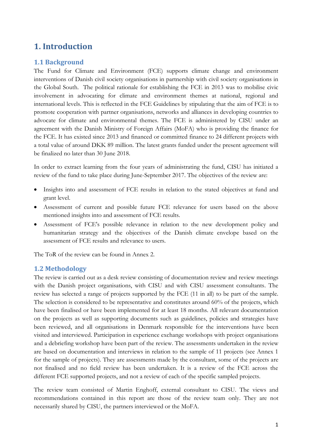# **1. Introduction**

### **1.1 Background**

The Fund for Climate and Environment (FCE) supports climate change and environment interventions of Danish civil society organisations in partnership with civil society organisations in the Global South. The political rationale for establishing the FCE in 2013 was to mobilise civic involvement in advocating for climate and environment themes at national, regional and international levels. This is reflected in the FCE Guidelines by stipulating that the aim of FCE is to promote cooperation with partner organisations, networks and alliances in developing countries to advocate for climate and environmental themes. The FCE is administered by CISU under an agreement with the Danish Ministry of Foreign Affairs (MoFA) who is providing the finance for the FCE. It has existed since 2013 and financed or committed finance to 24 different projects with a total value of around DKK 89 million. The latest grants funded under the present agreement will be finalized no later than 30 June 2018.

In order to extract learning from the four years of administrating the fund, CISU has initiated a review of the fund to take place during June-September 2017. The objectives of the review are:

- Insights into and assessment of FCE results in relation to the stated objectives at fund and grant level.
- Assessment of current and possible future FCE relevance for users based on the above mentioned insights into and assessment of FCE results.
- Assessment of FCE's possible relevance in relation to the new development policy and humanitarian strategy and the objectives of the Danish climate envelope based on the assessment of FCE results and relevance to users.

The ToR of the review can be found in Annex 2.

#### **1.2 Methodology**

The review is carried out as a desk review consisting of documentation review and review meetings with the Danish project organisations, with CISU and with CISU assessment consultants. The review has selected a range of projects supported by the FCE (11 in all) to be part of the sample. The selection is considered to be representative and constitutes around 60% of the projects, which have been finalised or have been implemented for at least 18 months. All relevant documentation on the projects as well as supporting documents such as guidelines, policies and strategies have been reviewed, and all organisations in Denmark responsible for the interventions have been visited and interviewed. Participation in experience exchange workshops with project organisations and a debriefing workshop have been part of the review. The assessments undertaken in the review are based on documentation and interviews in relation to the sample of 11 projects (see Annex 1 for the sample of projects). They are assessments made by the consultant, some of the projects are not finalised and no field review has been undertaken. It is a review of the FCE across the different FCE supported projects, and not a review of each of the specific sampled projects.

The review team consisted of Martin Enghoff, external consultant to CISU. The views and recommendations contained in this report are those of the review team only. They are not necessarily shared by CISU, the partners interviewed or the MoFA.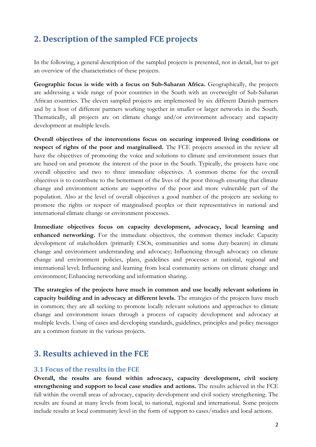# **2. Description of the sampled FCE projects**

In the following, a general description of the sampled projects is presented, not in detail, but to get an overview of the characteristics of these projects.

**Geographic focus is wide with a focus on Sub-Saharan Africa.** Geographically, the projects are addressing a wide range of poor countries in the South with an overweight of Sub-Saharan African countries. The eleven sampled projects are implemented by six different Danish partners and by a host of different partners working together in smaller or larger networks in the South. Thematically, all projects are on climate change and/or environment advocacy and capacity development at multiple levels.

**Overall objectives of the interventions focus on securing improved living conditions or respect of rights of the poor and marginalised.** The FCE projects assessed in the review all have the objectives of promoting the voice and solutions to climate and environment issues that are based on and promote the interest of the poor in the South. Typically, the projects have one overall objective and two to three immediate objectives. A common theme for the overall objectives is to contribute to the betterment of the lives of the poor through ensuring that climate change and environment actions are supportive of the poor and more vulnerable part of the population. Also at the level of overall objectives a good number of the projects are seeking to promote the rights or respect of marginalised peoples or their representatives in national and international climate change or environment processes.

**Immediate objectives focus on capacity development, advocacy, local learning and enhanced networking.** For the immediate objectives, the common themes include: Capacity development of stakeholders (primarily CSOs, communities and some duty-bearers) in climate change and environment understanding and advocacy; Influencing through advocacy on climate change and environment policies, plans, guidelines and processes at national, regional and international level; Influencing and learning from local community actions on climate change and environment; Enhancing networking and information sharing.

**The strategies of the projects have much in common and use locally relevant solutions in capacity building and in advocacy at different levels.** The strategies of the projects have much in common; they are all seeking to promote locally relevant solutions and approaches to climate change and environment issues through a process of capacity development and advocacy at multiple levels. Using of cases and developing standards, guidelines, principles and policy messages are a common feature in the various projects.

# **3. Results achieved in the FCE**

#### **3.1 Focus of the results in the FCE**

**Overall, the results are found within advocacy, capacity development, civil society strengthening and support to local case studies and actions.** The results achieved in the FCE fall within the overall areas of advocacy, capacity development and civil society strengthening. The results are found at many levels from local, to national, regional and international. Some projects include results at local community level in the form of support to cases/studies and local actions.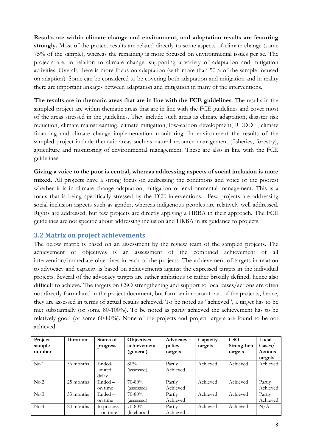**Results are within climate change and environment, and adaptation results are featuring strongly.** Most of the project results are related directly to some aspects of climate change (some 75% of the sample), whereas the remaining is more focused on environmental issues per se. The projects are, in relation to climate change, supporting a variety of adaptation and mitigation activities. Overall, there is more focus on adaptation (with more than 50% of the sample focused on adaption). Some can be considered to be covering both adaptation and mitigation and in reality there are important linkages between adaptation and mitigation in many of the interventions.

**The results are in thematic areas that are in line with the FCE guidelines**. The results in the sampled project are within thematic areas that are in line with the FCE guidelines and cover most of the areas stressed in the guidelines. They include such areas as climate adaptation, disaster risk reduction, climate mainstreaming, climate mitigation, low-carbon development, REDD+, climate financing and climate change implementation monitoring. In environment the results of the sampled project include thematic areas such as natural resource management (fisheries, forestry), agriculture and monitoring of environmental management. These are also in line with the FCE guidelines.

**Giving a voice to the poor is central, whereas addressing aspects of social inclusion is more mixed.** All projects have a strong focus on addressing the conditions and voice of the poorest whether it is in climate change adaptation, mitigation or environmental management. This is a focus that is being specifically stressed by the FCE interventions. Few projects are addressing social inclusion aspects such as gender, whereas indigenous peoples are relatively well addressed. Rights are addressed, but few projects are directly applying a HRBA in their approach. The FCE guidelines are not specific about addressing inclusion and HRBA in its guidance to projects.

#### **3.2 Matrix on project achievements**

The below matrix is based on an assessment by the review team of the sampled projects. The achievement of objectives is an assessment of the combined achievement of all intervention/immediate objectives in each of the projects. The achievement of targets in relation to advocacy and capacity is based on achievements against the expressed targets in the individual projects. Several of the advocacy targets are rather ambitious or rather broadly defined, hence also difficult to achieve. The targets on CSO strengthening and support to local cases/actions are often not directly formulated in the project document, but form an important part of the projects, hence, they are assessed in terms of actual results achieved. To be noted as "achieved", a target has to be met substantially (or some 80-100%). To be noted as partly achieved the achievement has to be relatively good (or some 60-80%). None of the projects and project targets are found to be not achieved.

| Project<br>sample | Duration  | Status of<br>progress | <b>Objectives</b><br>achievement | $Advocacy -$<br>policy | Capacity<br>targets | <b>CSO</b><br>Strengthen | Local<br>$\text{Case}$ |
|-------------------|-----------|-----------------------|----------------------------------|------------------------|---------------------|--------------------------|------------------------|
| number            |           |                       | (general)                        | targets                |                     | targets                  | <b>Actions</b>         |
|                   |           |                       |                                  |                        |                     |                          | targets                |
| No.1              | 36 months | Ended-                | 80%                              | Partly                 | Achieved            | Achieved                 | Achieved               |
|                   |           | limited               | (assessed)                       | Achieved               |                     |                          |                        |
|                   |           | delay                 |                                  |                        |                     |                          |                        |
| No.2              | 25 months | Ended –               | 70-80%                           | Partly                 | Achieved            | Achieved                 | Partly                 |
|                   |           | on time               | (assessed)                       | Achieved               |                     |                          | Achieved               |
| No.3              | 33 months | Ended -               | $70 - 80\%$                      | Partly                 | Achieved            | Achieved                 | Partly                 |
|                   |           | on time               | (assessed)                       | Achieved               |                     |                          | Achieved               |
| No.4              | 24 months | In process            | $70 - 80\%$                      | Partly                 | Achieved            | Achieved                 | N/A                    |
|                   |           | $-$ on time           | (likelihood                      | Achieved               |                     |                          |                        |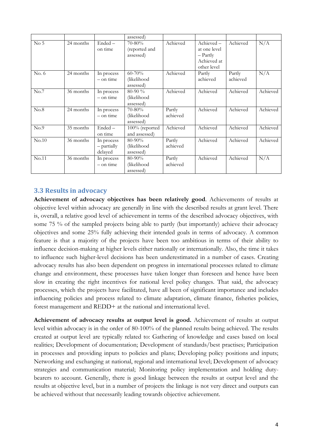|                 |           |                                      | assessed)                                 |                    |                                                                     |                    |          |
|-----------------|-----------|--------------------------------------|-------------------------------------------|--------------------|---------------------------------------------------------------------|--------------------|----------|
| No <sub>5</sub> | 24 months | $Ended -$<br>on time                 | $70 - 80\%$<br>(reported and<br>assessed) | Achieved           | Achieved-<br>at one level<br>- Partly<br>Achieved at<br>other level | Achieved           | N/A      |
| No. 6           | 24 months | In process<br>$-$ on time            | $60 - 70%$<br>(likelihood<br>assessed)    | Achieved           | Partly<br>achieved                                                  | Partly<br>achieved | N/A      |
| No.7            | 36 months | In process<br>$-$ on time            | $80-90\%$<br>(likelihood<br>assessed)     | Achieved           | Achieved                                                            | Achieved           | Achieved |
| No.8            | 24 months | In process<br>$-$ on time            | 70-80%<br>(likelihood<br>assessed)        | Partly<br>achieved | Achieved                                                            | Achieved           | Achieved |
| No.9            | 35 months | Ended-<br>on time                    | $100\%$ (reported<br>and assessed)        | Achieved           | Achieved                                                            | Achieved           | Achieved |
| No.10           | 36 months | In process<br>- partially<br>delayed | 80-90%<br>(likelihood<br>assessed)        | Partly<br>achieved | Achieved                                                            | Achieved           | Achieved |
| No.11           | 36 months | In process<br>$-$ on time            | $80 - 90\%$<br>(likelihood<br>assessed)   | Partly<br>achieved | Achieved                                                            | Achieved           | N/A      |

#### **3.3 Results in advocacy**

**Achievement of advocacy objectives has been relatively good**. Achievements of results at objective level within advocacy are generally in line with the described results at grant level. There is, overall, a relative good level of achievement in terms of the described advocacy objectives, with some 75 % of the sampled projects being able to partly (but importantly) achieve their advocacy objectives and some 25% fully achieving their intended goals in terms of advocacy. A common feature is that a majority of the projects have been too ambitious in terms of their ability to influence decision-making at higher levels either nationally or internationally. Also, the time it takes to influence such higher-level decisions has been underestimated in a number of cases. Creating advocacy results has also been dependent on progress in international processes related to climate change and environment, these processes have taken longer than foreseen and hence have been slow in creating the right incentives for national level policy changes. That said, the advocacy processes, which the projects have facilitated, have all been of significant importance and includes influencing policies and process related to climate adaptation, climate finance, fisheries policies, forest management and REDD+ at the national and international level.

**Achievement of advocacy results at output level is good.** Achievement of results at output level within advocacy is in the order of 80-100% of the planned results being achieved. The results created at output level are typically related to: Gathering of knowledge and cases based on local realities; Development of documentation; Development of standards/best practises; Participation in processes and providing inputs to policies and plans; Developing policy positions and inputs; Networking and exchanging at national, regional and international level; Development of advocacy strategies and communication material; Monitoring policy implementation and holding dutybearers to account. Generally, there is good linkage between the results at output level and the results at objective level, but in a number of projects the linkage is not very direct and outputs can be achieved without that necessarily leading towards objective achievement.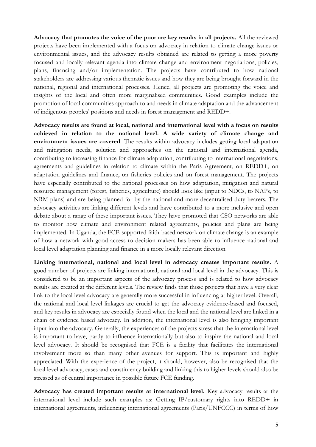**Advocacy that promotes the voice of the poor are key results in all projects.** All the reviewed projects have been implemented with a focus on advocacy in relation to climate change issues or environmental issues, and the advocacy results obtained are related to getting a more poverty focused and locally relevant agenda into climate change and environment negotiations, policies, plans, financing and/or implementation. The projects have contributed to how national stakeholders are addressing various thematic issues and how they are being brought forward in the national, regional and international processes. Hence, all projects are promoting the voice and insights of the local and often more marginalised communities. Good examples include the promotion of local communities approach to and needs in climate adaptation and the advancement of indigenous peoples' positions and needs in forest management and REDD+.

**Advocacy results are found at local, national and international level with a focus on results achieved in relation to the national level. A wide variety of climate change and environment issues are covered**. The results within advocacy includes getting local adaptation and mitigation needs, solution and approaches on the national and international agenda, contributing to increasing finance for climate adaptation, contributing to international negotiations, agreements and guidelines in relation to climate within the Paris Agreement, on REDD+, on adaptation guidelines and finance, on fisheries policies and on forest management. The projects have especially contributed to the national processes on how adaptation, mitigation and natural resource management (forest, fisheries, agriculture) should look like (input to NDCs, to NAPs, to NRM plans) and are being planned for by the national and more decentralised duty-bearers. The advocacy activities are linking different levels and have contributed to a more inclusive and open debate about a range of these important issues. They have promoted that CSO networks are able to monitor how climate and environment related agreements, policies and plans are being implemented. In Uganda, the FCE-supported faith-based network on climate change is an example of how a network with good access to decision makers has been able to influence national and local level adaptation planning and finance in a more locally relevant direction.

**Linking international, national and local level in advocacy creates important results.** A good number of projects are linking international, national and local level in the advocacy. This is considered to be an important aspects of the advocacy process and is related to how advocacy results are created at the different levels. The review finds that those projects that have a very clear link to the local level advocacy are generally more successful in influencing at higher level. Overall, the national and local level linkages are crucial to get the advocacy evidence-based and focused, and key results in advocacy are especially found when the local and the national level are linked in a chain of evidence based advocacy. In addition, the international level is also bringing important input into the advocacy. Generally, the experiences of the projects stress that the international level is important to have, partly to influence internationally but also to inspire the national and local level advocacy. It should be recognised that FCE is a facility that facilitates the international involvement more so than many other avenues for support. This is important and highly appreciated. With the experience of the project, it should, however, also be recognised that the local level advocacy, cases and constituency building and linking this to higher levels should also be stressed as of central importance in possible future FCE funding.

**Advocacy has created important results at international level.** Key advocacy results at the international level include such examples as: Getting IP/customary rights into REDD+ in international agreements, influencing international agreements (Paris/UNFCCC) in terms of how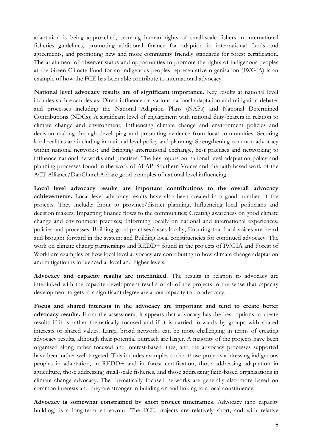adaptation is being approached, securing human rights of small-scale fishers in international fisheries guidelines, promoting additional finance for adaption in international funds and agreements, and promoting new and more community friendly standards for forest certification. The attainment of observer status and opportunities to promote the rights of indigenous peoples at the Green Climate Fund for an indigenous peoples representative organisation (IWGIA) is an example of how the FCE has been able contribute to international advocacy.

**National level advocacy results are of significant importance**. Key results at national level includes such examples as: Direct influence on various national adaptation and mitigation debates and processes including the National Adaption Plans (NAPs) and National Determined Contributions (NDCs); A significant level of engagement with national duty-bearers in relation to climate change and environment; Influencing climate change and environment policies and decision making through developing and presenting evidence from local communities; Securing local realities are including in national level policy and planning; Strengthening common advocacy within national networks; and Bringing international exchange, best practises and networking to influence national networks and practises. The key inputs on national level adaptation policy and planning processes found in the work of ALAP, Southern Voices and the faith-based work of the ACT Alliance/DanChurchAid are good examples of national level influencing.

**Local level advocacy results are important contributions to the overall advocacy achievements.** Local level advocacy results have also been created in a good number of the projects. They include: Input to province/district planning; Influencing local politicians and decision makers; Impacting finance flows to the communities; Creating awareness on good climate change and environment practises; Informing locally on national and international experiences, policies and processes; Building good practises/cases locally; Ensuring that local voices are heard and brought forward in the system; and Building local constituencies for continued advocacy. The work on climate change partnerships and REDD+ found in the projects of IWGIA and Forest of World are examples of how local level advocacy are contributing to how climate change adaptation and mitigation is influenced at local and higher levels.

**Advocacy and capacity results are interlinked.** The results in relation to advocacy are interlinked with the capacity development results of all of the projects in the sense that capacity development targets to a significant degree are about capacity to do advocacy.

**Focus and shared interests in the advocacy are important and tend to create better**  advocacy results. From the assessment, it appears that advocacy has the best options to create results if it is rather thematically focused and if it is carried forwards by groups with shared interests or shared values. Large, broad networks can be more challenging in terms of creating advocacy results, although their potential outreach are larger. A majority of the projects have been organised along rather focused and interest-based lines, and the advocacy processes supported have been rather well targeted. This includes examples such a those projects addressing indigenous peoples in adaptation, in REDD+ and in forest certification, those addressing adaptation in agriculture, those addressing small-scale fisheries, and those addressing faith-based organisations in climate change advocacy. The thematically focused networks are generally also more based on common interests and they are stronger in building on and linking to a local constituency.

**Advocacy is somewhat constrained by short project timeframes**. Advocacy (and capacity building) is a long-term endeavour. The FCE projects are relatively short, and with relative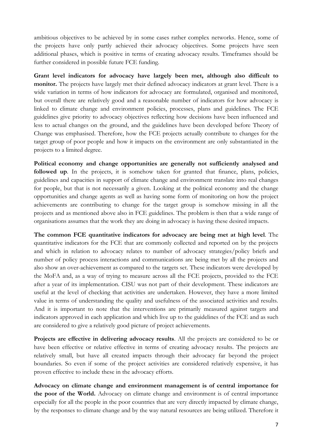ambitious objectives to be achieved by in some cases rather complex networks. Hence, some of the projects have only partly achieved their advocacy objectives. Some projects have seen additional phases, which is positive in terms of creating advocacy results. Timeframes should be further considered in possible future FCE funding.

**Grant level indicators for advocacy have largely been met, although also difficult to monitor.** The projects have largely met their defined advocacy indicators at grant level. There is a wide variation in terms of how indicators for advocacy are formulated, organised and monitored, but overall there are relatively good and a reasonable number of indicators for how advocacy is linked to climate change and environment policies, processes, plans and guidelines. The FCE guidelines give priority to advocacy objectives reflecting how decisions have been influenced and less to actual changes on the ground, and the guidelines have been developed before Theory of Change was emphasised. Therefore, how the FCE projects actually contribute to changes for the target group of poor people and how it impacts on the environment are only substantiated in the projects to a limited degree.

**Political economy and change opportunities are generally not sufficiently analysed and**  followed up. In the projects, it is somehow taken for granted that finance, plans, policies, guidelines and capacities in support of climate change and environment translate into real changes for people, but that is not necessarily a given. Looking at the political economy and the change opportunities and change agents as well as having some form of monitoring on how the project achievements are contributing to change for the target group is somehow missing in all the projects and as mentioned above also in FCE guidelines. The problem is then that a wide range of organisations assumes that the work they are doing in advocacy is having these desired impacts.

**The common FCE quantitative indicators for advocacy are being met at high level**. The quantitative indicators for the FCE that are commonly collected and reported on by the projects and which in relation to advocacy relates to number of advocacy strategies/policy briefs and number of policy process interactions and communications are being met by all the projects and also show an over-achievement as compared to the targets set. These indicators were developed by the MoFA and, as a way of trying to measure across all the FCE projects, provided to the FCE after a year of its implementation. CISU was not part of their development. These indicators are useful at the level of checking that activities are undertaken. However, they have a more limited value in terms of understanding the quality and usefulness of the associated activities and results. And it is important to note that the interventions are primarily measured against targets and indicators approved in each application and which live up to the guidelines of the FCE and as such are considered to give a relatively good picture of project achievements.

**Projects are effective in delivering advocacy results**. All the projects are considered to be or have been effective or relative effective in terms of creating advocacy results. The projects are relatively small, but have all created impacts through their advocacy far beyond the project boundaries. So even if some of the project activities are considered relatively expensive, it has proven effective to include these in the advocacy efforts.

**Advocacy on climate change and environment management is of central importance for the poor of the World.** Advocacy on climate change and environment is of central importance especially for all the people in the poor countries that are very directly impacted by climate change, by the responses to climate change and by the way natural resources are being utilized. Therefore it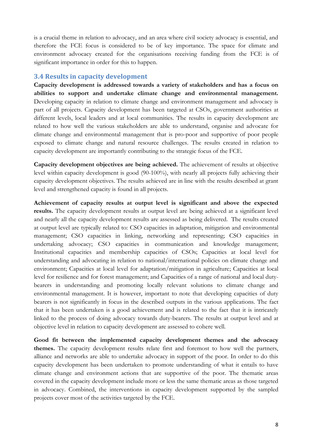is a crucial theme in relation to advocacy, and an area where civil society advocacy is essential, and therefore the FCE focus is considered to be of key importance. The space for climate and environment advocacy created for the organisations receiving funding from the FCE is of significant importance in order for this to happen.

#### **3.4 Results in capacity development**

**Capacity development is addressed towards a variety of stakeholders and has a focus on abilities to support and undertake climate change and environmental management.** Developing capacity in relation to climate change and environment management and advocacy is part of all projects. Capacity development has been targeted at CSOs, government authorities at different levels, local leaders and at local communities. The results in capacity development are related to how well the various stakeholders are able to understand, organise and advocate for climate change and environmental management that is pro-poor and supportive of poor people exposed to climate change and natural resource challenges. The results created in relation to capacity development are importantly contributing to the strategic focus of the FCE.

**Capacity development objectives are being achieved.** The achievement of results at objective level within capacity development is good (90-100%), with nearly all projects fully achieving their capacity development objectives. The results achieved are in line with the results described at grant level and strengthened capacity is found in all projects.

**Achievement of capacity results at output level is significant and above the expected results.** The capacity development results at output level are being achieved at a significant level and nearly all the capacity development results are assessed as being delivered. The results created at output level are typically related to: CSO capacities in adaptation, mitigation and environmental management; CSO capacities in linking, networking and representing; CSO capacities in undertaking advocacy; CSO capacities in communication and knowledge management; Institutional capacities and membership capacities of CSOs; Capacities at local level for understanding and advocating in relation to national/international policies on climate change and environment; Capacities at local level for adaptation/mitigation in agriculture; Capacities at local level for resilience and for forest management; and Capacities of a range of national and local dutybearers in understanding and promoting locally relevant solutions to climate change and environmental management. It is however, important to note that developing capacities of duty bearers is not significantly in focus in the described outputs in the various applications. The fact that it has been undertaken is a good achievement and is related to the fact that it is intricately linked to the process of doing advocacy towards duty-bearers. The results at output level and at objective level in relation to capacity development are assessed to cohere well.

**Good fit between the implemented capacity development themes and the advocacy themes.** The capacity development results relate first and foremost to how well the partners, alliance and networks are able to undertake advocacy in support of the poor. In order to do this capacity development has been undertaken to promote understanding of what it entails to have climate change and environment actions that are supportive of the poor. The thematic areas covered in the capacity development include more or less the same thematic areas as those targeted in advocacy. Combined, the interventions in capacity development supported by the sampled projects cover most of the activities targeted by the FCE.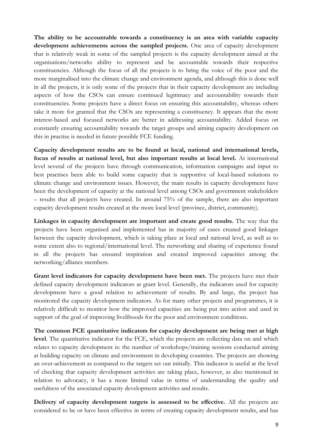**The ability to be accountable towards a constituency is an area with variable capacity development achievements across the sampled projects.** One area of capacity development that is relatively weak in some of the sampled projects is the capacity development aimed at the organisations/networks ability to represent and be accountable towards their respective constituencies. Although the focus of all the projects is to bring the voice of the poor and the more marginalised into the climate change and environment agenda, and although this is done well in all the projects, it is only some of the projects that in their capacity development are including aspects of how the CSOs can ensure continued legitimacy and accountability towards their constituencies. Some projects have a direct focus on ensuring this accountability, whereas others take it more for granted that the CSOs are representing a constituency. It appears that the more interest-based and focused networks are better in addressing accountability. Added focus on constantly ensuring accountability towards the target groups and aiming capacity development on this in practise is needed in future possible FCE funding.

**Capacity development results are to be found at local, national and international levels, focus of results at national level, but also important results at local level.** At international level several of the projects have through communication, information campaigns and input to best practises been able to build some capacity that is supportive of local-based solutions to climate change and environment issues. However, the main results in capacity development have been the development of capacity at the national level among CSOs and government stakeholders – results that all projects have created. In around 75% of the sample, there are also important capacity development results created at the more local level (province, district, community).

**Linkages in capacity development are important and create good results.** The way that the projects have been organised and implemented has in majority of cases created good linkages between the capacity development, which is taking place at local and national level, as well as to some extent also to regional/international level. The networking and sharing of experience found in all the projects has ensured inspiration and created improved capacities among the networking/alliance members.

Grant level indicators for capacity development have been met. The projects have met their defined capacity development indicators at grant level. Generally, the indicators used for capacity development have a good relation to achievement of results. By and large, the project has monitored the capacity development indicators. As for many other projects and programmes, it is relatively difficult to monitor how the improved capacities are being put into action and used in support of the goal of improving livelihoods for the poor and environment conditions.

**The common FCE quantitative indicators for capacity development are being met at high level**. The quantitative indicator for the FCE, which the projects are collecting data on and which relates to capacity development is: the number of workshops/training sessions conducted aiming at building capacity on climate and environment in developing countries. The projects are showing an over-achievement as compared to the targets set out initially. This indicator is useful at the level of checking that capacity development activities are taking place, however, as also mentioned in relation to advocacy, it has a more limited value in terms of understanding the quality and usefulness of the associated capacity development activities and results.

**Delivery of capacity development targets is assessed to be effective.** All the projects are considered to be or have been effective in terms of creating capacity development results, and has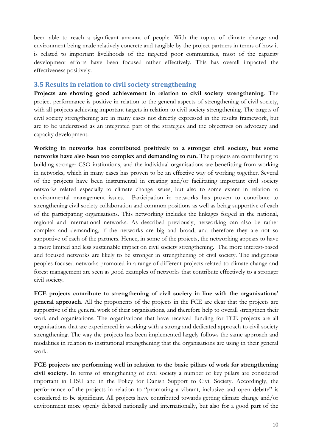been able to reach a significant amount of people. With the topics of climate change and environment being made relatively concrete and tangible by the project partners in terms of how it is related to important livelihoods of the targeted poor communities, most of the capacity development efforts have been focused rather effectively. This has overall impacted the effectiveness positively.

#### **3.5 Results in relation to civil society strengthening**

**Projects are showing good achievement in relation to civil society strengthening**. The project performance is positive in relation to the general aspects of strengthening of civil society, with all projects achieving important targets in relation to civil society strengthening. The targets of civil society strengthening are in many cases not directly expressed in the results framework, but are to be understood as an integrated part of the strategies and the objectives on advocacy and capacity development.

**Working in networks has contributed positively to a stronger civil society, but some networks have also been too complex and demanding to run.** The projects are contributing to building stronger CSO institutions, and the individual organisations are benefitting from working in networks, which in many cases has proven to be an effective way of working together. Several of the projects have been instrumental in creating and/or facilitating important civil society networks related especially to climate change issues, but also to some extent in relation to environmental management issues. Participation in networks has proven to contribute to strengthening civil society collaboration and common positions as well as being supportive of each of the participating organisations. This networking includes the linkages forged in the national, regional and international networks. As described previously, networking can also be rather complex and demanding, if the networks are big and broad, and therefore they are not so supportive of each of the partners. Hence, in some of the projects, the networking appears to have a more limited and less sustainable impact on civil society strengthening. The more interest-based and focused networks are likely to be stronger in strengthening of civil society. The indigenous peoples focused networks promoted in a range of different projects related to climate change and forest management are seen as good examples of networks that contribute effectively to a stronger civil society.

**FCE projects contribute to strengthening of civil society in line with the organisations' general approach.** All the proponents of the projects in the FCE are clear that the projects are supportive of the general work of their organisations, and therefore help to overall strengthen their work and organisations. The organisations that have received funding for FCE projects are all organisations that are experienced in working with a strong and dedicated approach to civil society strengthening. The way the projects has been implemented largely follows the same approach and modalities in relation to institutional strengthening that the organisations are using in their general work.

**FCE projects are performing well in relation to the basic pillars of work for strengthening civil society.** In terms of strengthening of civil society a number of key pillars are considered important in CISU and in the Policy for Danish Support to Civil Society. Accordingly, the performance of the projects in relation to "promoting a vibrant, inclusive and open debate" is considered to be significant. All projects have contributed towards getting climate change and/or environment more openly debated nationally and internationally, but also for a good part of the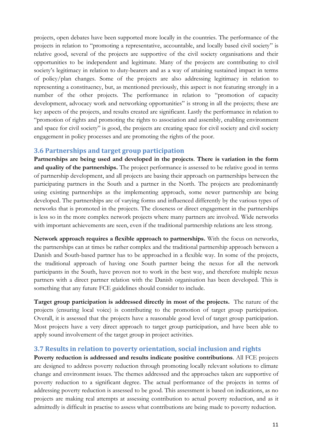projects, open debates have been supported more locally in the countries. The performance of the projects in relation to "promoting a representative, accountable, and locally based civil society" is relative good, several of the projects are supportive of the civil society organisations and their opportunities to be independent and legitimate. Many of the projects are contributing to civil society's legitimacy in relation to duty-bearers and as a way of attaining sustained impact in terms of policy/plan changes. Some of the projects are also addressing legitimacy in relation to representing a constituency, but, as mentioned previously, this aspect is not featuring strongly in a number of the other projects. The performance in relation to "promotion of capacity development, advocacy work and networking opportunities" is strong in all the projects; these are key aspects of the projects, and results created are significant. Lastly the performance in relation to "promotion of rights and promoting the rights to association and assembly, enabling environment and space for civil society" is good, the projects are creating space for civil society and civil society engagement in policy processes and are promoting the rights of the poor.

#### **3.6 Partnerships and target group participation**

**Partnerships are being used and developed in the projects**. **There is variation in the form and quality of the partnerships.** The project performance is assessed to be relative good in terms of partnership development, and all projects are basing their approach on partnerships between the participating partners in the South and a partner in the North. The projects are predominantly using existing partnerships as the implementing approach, some newer partnership are being developed. The partnerships are of varying forms and influenced differently by the various types of networks that is promoted in the projects. The closeness or direct engagement in the partnerships is less so in the more complex network projects where many partners are involved. Wide networks with important achievements are seen, even if the traditional partnership relations are less strong.

**Network approach requires a flexible approach to partnerships.** With the focus on networks, the partnerships can at times be rather complex and the traditional partnership approach between a Danish and South-based partner has to be approached in a flexible way. In some of the projects, the traditional approach of having one South partner being the nexus for all the network participants in the South, have proven not to work in the best way, and therefore multiple nexus partners with a direct partner relation with the Danish organisation has been developed. This is something that any future FCE guidelines should consider to include.

**Target group participation is addressed directly in most of the projects.** The nature of the projects (ensuring local voice) is contributing to the promotion of target group participation. Overall, it is assessed that the projects have a reasonable good level of target group participation. Most projects have a very direct approach to target group participation, and have been able to apply sound involvement of the target group in project activities.

#### **3.7 Results in relation to poverty orientation, social inclusion and rights**

**Poverty reduction is addressed and results indicate positive contributions**. All FCE projects are designed to address poverty reduction through promoting locally relevant solutions to climate change and environment issues. The themes addressed and the approaches taken are supportive of poverty reduction to a significant degree. The actual performance of the projects in terms of addressing poverty reduction is assessed to be good. This assessment is based on indications, as no projects are making real attempts at assessing contribution to actual poverty reduction, and as it admittedly is difficult in practise to assess what contributions are being made to poverty reduction.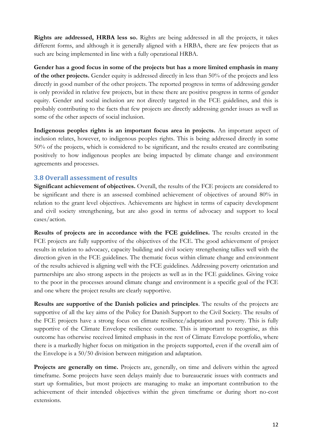**Rights are addressed, HRBA less so.** Rights are being addressed in all the projects, it takes different forms, and although it is generally aligned with a HRBA, there are few projects that as such are being implemented in line with a fully operational HRBA.

**Gender has a good focus in some of the projects but has a more limited emphasis in many of the other projects.** Gender equity is addressed directly in less than 50% of the projects and less directly in good number of the other projects. The reported progress in terms of addressing gender is only provided in relative few projects, but in these there are positive progress in terms of gender equity. Gender and social inclusion are not directly targeted in the FCE guidelines, and this is probably contributing to the facts that few projects are directly addressing gender issues as well as some of the other aspects of social inclusion.

**Indigenous peoples rights is an important focus area in projects.** An important aspect of inclusion relates, however, to indigenous peoples rights. This is being addressed directly in some 50% of the projects, which is considered to be significant, and the results created are contributing positively to how indigenous peoples are being impacted by climate change and environment agreements and processes.

#### **3.8 Overall assessment of results**

**Significant achievement of objectives.** Overall, the results of the FCE projects are considered to be significant and there is an assessed combined achievement of objectives of around 80% in relation to the grant level objectives. Achievements are highest in terms of capacity development and civil society strengthening, but are also good in terms of advocacy and support to local cases/action.

**Results of projects are in accordance with the FCE guidelines.** The results created in the FCE projects are fully supportive of the objectives of the FCE. The good achievement of project results in relation to advocacy, capacity building and civil society strengthening tallies well with the direction given in the FCE guidelines. The thematic focus within climate change and environment of the results achieved is aligning well with the FCE guidelines. Addressing poverty orientation and partnerships are also strong aspects in the projects as well as in the FCE guidelines. Giving voice to the poor in the processes around climate change and environment is a specific goal of the FCE and one where the project results are clearly supportive.

**Results are supportive of the Danish policies and principles**. The results of the projects are supportive of all the key aims of the Policy for Danish Support to the Civil Society. The results of the FCE projects have a strong focus on climate resilience/adaptation and poverty. This is fully supportive of the Climate Envelope resilience outcome. This is important to recognise, as this outcome has otherwise received limited emphasis in the rest of Climate Envelope portfolio, where there is a markedly higher focus on mitigation in the projects supported, even if the overall aim of the Envelope is a 50/50 division between mitigation and adaptation.

**Projects are generally on time.** Projects are, generally, on time and delivers within the agreed timeframe. Some projects have seen delays mainly due to bureaucratic issues with contracts and start up formalities, but most projects are managing to make an important contribution to the achievement of their intended objectives within the given timeframe or during short no-cost extensions.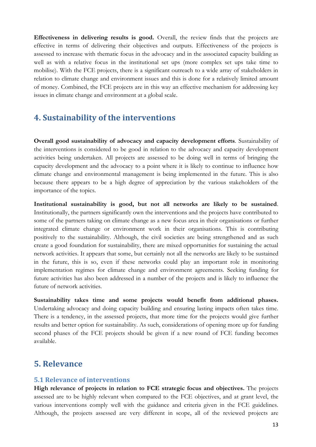**Effectiveness in delivering results is good.** Overall, the review finds that the projects are effective in terms of delivering their objectives and outputs. Effectiveness of the projects is assessed to increase with thematic focus in the advocacy and in the associated capacity building as well as with a relative focus in the institutional set ups (more complex set ups take time to mobilise). With the FCE projects, there is a significant outreach to a wide array of stakeholders in relation to climate change and environment issues and this is done for a relatively limited amount of money. Combined, the FCE projects are in this way an effective mechanism for addressing key issues in climate change and environment at a global scale.

## **4. Sustainability of the interventions**

**Overall good sustainability of advocacy and capacity development efforts**. Sustainability of the interventions is considered to be good in relation to the advocacy and capacity development activities being undertaken. All projects are assessed to be doing well in terms of bringing the capacity development and the advocacy to a point where it is likely to continue to influence how climate change and environmental management is being implemented in the future. This is also because there appears to be a high degree of appreciation by the various stakeholders of the importance of the topics.

**Institutional sustainability is good, but not all networks are likely to be sustained**. Institutionally, the partners significantly own the interventions and the projects have contributed to some of the partners taking on climate change as a new focus area in their organisations or further integrated climate change or environment work in their organisations. This is contributing positively to the sustainability. Although, the civil societies are being strengthened and as such create a good foundation for sustainability, there are mixed opportunities for sustaining the actual network activities. It appears that some, but certainly not all the networks are likely to be sustained in the future, this is so, even if these networks could play an important role in monitoring implementation regimes for climate change and environment agreements. Seeking funding for future activities has also been addressed in a number of the projects and is likely to influence the future of network activities.

**Sustainability takes time and some projects would benefit from additional phases.** Undertaking advocacy and doing capacity building and ensuring lasting impacts often takes time. There is a tendency, in the assessed projects, that more time for the projects would give further results and better option for sustainability. As such, considerations of opening more up for funding second phases of the FCE projects should be given if a new round of FCE funding becomes available.

# **5. Relevance**

#### **5.1 Relevance of interventions**

**High relevance of projects in relation to FCE strategic focus and objectives.** The projects assessed are to be highly relevant when compared to the FCE objectives, and at grant level, the various interventions comply well with the guidance and criteria given in the FCE guidelines. Although, the projects assessed are very different in scope, all of the reviewed projects are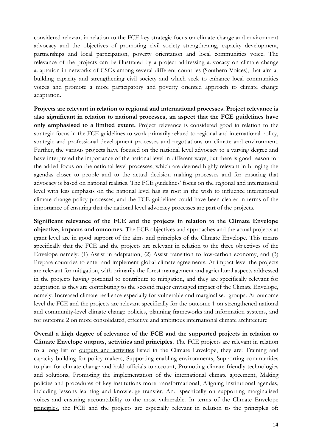considered relevant in relation to the FCE key strategic focus on climate change and environment advocacy and the objectives of promoting civil society strengthening, capacity development, partnerships and local participation, poverty orientation and local communities voice. The relevance of the projects can be illustrated by a project addressing advocacy on climate change adaptation in networks of CSOs among several different countries (Southern Voices), that aim at building capacity and strengthening civil society and which seek to enhance local communities voices and promote a more participatory and poverty oriented approach to climate change adaptation.

**Projects are relevant in relation to regional and international processes. Project relevance is also significant in relation to national processes, an aspect that the FCE guidelines have only emphasised to a limited extent.** Project relevance is considered good in relation to the strategic focus in the FCE guidelines to work primarily related to regional and international policy, strategic and professional development processes and negotiations on climate and environment. Further, the various projects have focused on the national level advocacy to a varying degree and have interpreted the importance of the national level in different ways, but there is good reason for the added focus on the national level processes, which are deemed highly relevant in bringing the agendas closer to people and to the actual decision making processes and for ensuring that advocacy is based on national realities. The FCE guidelines' focus on the regional and international level with less emphasis on the national level has its root in the wish to influence international climate change policy processes, and the FCE guidelines could have been clearer in terms of the importance of ensuring that the national level advocacy processes are part of the projects.

**Significant relevance of the FCE and the projects in relation to the Climate Envelope objective, impacts and outcomes.** The FCE objectives and approaches and the actual projects at grant level are in good support of the aims and principles of the Climate Envelope. This means specifically that the FCE and the projects are relevant in relation to the three objectives of the Envelope namely: (1) Assist in adaptation, (2) Assist transition to low-carbon economy, and (3) Prepare countries to enter and implement global climate agreements. At impact level the projects are relevant for mitigation, with primarily the forest management and agricultural aspects addressed in the projects having potential to contribute to mitigation, and they are specifically relevant for adaptation as they are contributing to the second major envisaged impact of the Climate Envelope, namely: Increased climate resilience especially for vulnerable and marginalised groups. At outcome level the FCE and the projects are relevant specifically for the outcome 1 on strengthened national and community-level climate change policies, planning frameworks and information systems, and for outcome 2 on more consolidated, effective and ambitious international climate architecture.

**Overall a high degree of relevance of the FCE and the supported projects in relation to Climate Envelope outputs, activities and principles**. The FCE projects are relevant in relation to a long list of outputs and activities listed in the Climate Envelope, they are: Training and capacity building for policy makers, Supporting enabling environments, Supporting communities to plan for climate change and hold officials to account, Promoting climate friendly technologies and solutions, Promoting the implementation of the international climate agreement, Making policies and procedures of key institutions more transformational, Aligning institutional agendas, including lessons learning and knowledge transfer, And specifically on supporting marginalised voices and ensuring accountability to the most vulnerable. In terms of the Climate Envelope principles, the FCE and the projects are especially relevant in relation to the principles of: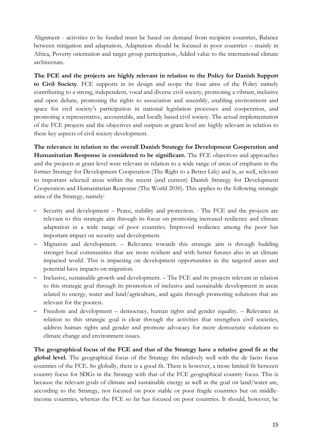Alignment - activities to be funded must be based on demand from recipient countries, Balance between mitigation and adaptation, Adaptation should be focused in poor countries – mainly in Africa, Poverty orientation and target group participation, Added value to the international climate architecture.

**The FCE and the projects are highly relevant in relation to the Policy for Danish Support to Civil Society**. FCE supports in its design and scope the four aims of the Policy namely contributing to a strong, independent, vocal and diverse civil society, promoting a vibrant, inclusive and open debate, promoting the rights to association and assembly, enabling environment and space for civil society's participation in national legislation processes and cooperation, and promoting a representative, accountable, and locally based civil society. The actual implementation of the FCE projects and the objectives and outputs at grant level are highly relevant in relation to these key aspects of civil society development.

**The relevance in relation to the overall Danish Strategy for Development Cooperation and Humanitarian Response is considered to be significant.** The FCE objectives and approaches and the projects at grant level were relevant in relation to a wide range of areas of emphasis in the former Strategy for Development Cooperation (The Right to a Better Life) and is, as well, relevant to important selected areas within the recent (and current) Danish Strategy for Development Cooperation and Humanitarian Response (The World 2030). This applies to the following strategic aims of the Strategy, namely:

- Security and development Peace, stability and protection. The FCE and the projects are relevant to this strategic aim through its focus on promoting increased resilience and climate adaptation in a wide range of poor countries. Improved resilience among the poor has important impact on security and development.
- Migration and development. Relevance towards this strategic aim is through building stronger local communities that are more resilient and with better futures also in an climate impacted world. This is impacting on development opportunities in the targeted areas and potential have impacts on migration.
- Inclusive, sustainable growth and development. The FCE and its projects relevant in relation to this strategic goal through its promotion of inclusive and sustainable development in areas related to energy, water and land/agriculture, and again through promoting solutions that are relevant for the poorest.
- Freedom and development democracy, human rights and gender equality. Relevance in relation to this strategic goal is clear through the activities that strengthen civil societies, address human rights and gender and promote advocacy for more democratic solutions to climate change and environment issues.

**The geographical focus of the FCE and that of the Strategy have a relative good fit at the global level.** The geographical focus of the Strategy fits relatively well with the de facto focus countries of the FCE. So globally, there is a good fit. There is however, a more limited fit between country focus for SDGs in the Strategy with that of the FCE geographical country focus. This is because the relevant goals of climate and sustainable energy as well as the goal on land/water are, according to the Strategy, not focused on poor stable or poor fragile countries but on middleincome countries, whereas the FCE so far has focused on poor countries. It should, however, be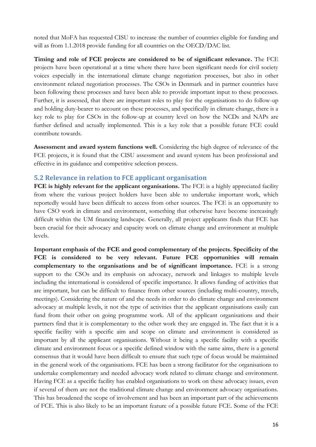noted that MoFA has requested CISU to increase the number of countries eligible for funding and will as from 1.1.2018 provide funding for all countries on the OECD/DAC list.

**Timing and role of FCE projects are considered to be of significant relevance.** The FCE projects have been operational at a time where there have been significant needs for civil society voices especially in the international climate change negotiation processes, but also in other environment related negotiation processes. The CSOs in Denmark and in partner countries have been following these processes and have been able to provide important input to these processes. Further, it is assessed, that there are important roles to play for the organisations to do follow-up and holding duty-bearer to account on these processes, and specifically in climate change, there is a key role to play for CSOs in the follow-up at country level on how the NCDs and NAPs are further defined and actually implemented. This is a key role that a possible future FCE could contribute towards.

**Assessment and award system functions well.** Considering the high degree of relevance of the FCE projects, it is found that the CISU assessment and award system has been professional and effective in its guidance and competitive selection process.

#### **5.2 Relevance in relation to FCE applicant organisation**

**FCE is highly relevant for the applicant organisations.** The FCE is a highly appreciated facility from where the various project holders have been able to undertake important work, which reportedly would have been difficult to access from other sources. The FCE is an opportunity to have CSO work in climate and environment, something that otherwise have become increasingly difficult within the UM financing landscape. Generally, all project applicants finds that FCE has been crucial for their advocacy and capacity work on climate change and environment at multiple levels.

**Important emphasis of the FCE and good complementary of the projects. Specificity of the FCE is considered to be very relevant. Future FCE opportunities will remain complementary to the organisations and be of significant importance.** FCE is a strong support to the CSOs and its emphasis on advocacy, network and linkages to multiple levels including the international is considered of specific importance. It allows funding of activities that are important, but can be difficult to finance from other sources (including multi-country, travels, meetings). Considering the nature of and the needs in order to do climate change and environment advocacy at multiple levels, it not the type of activities that the applicant organisations easily can fund from their other on going programme work. All of the applicant organisations and their partners find that it is complementary to the other work they are engaged in. The fact that it is a specific facility with a specific aim and scope on climate and environment is considered as important by all the applicant organisations. Without it being a specific facility with a specific climate and environment focus or a specific defined window with the same aims, there is a general consensus that it would have been difficult to ensure that such type of focus would be maintained in the general work of the organisations. FCE has been a strong facilitator for the organisations to undertake complementary and needed advocacy work related to climate change and environment. Having FCE as a specific facility has enabled organisations to work on these advocacy issues, even if several of them are not the traditional climate change and environment advocacy organisations. This has broadened the scope of involvement and has been an important part of the achievements of FCE. This is also likely to be an important feature of a possible future FCE. Some of the FCE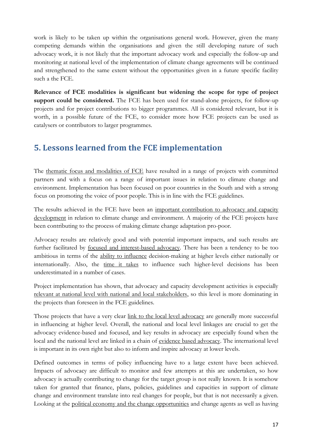work is likely to be taken up within the organisations general work. However, given the many competing demands within the organisations and given the still developing nature of such advocacy work, it is not likely that the important advocacy work and especially the follow-up and monitoring at national level of the implementation of climate change agreements will be continued and strengthened to the same extent without the opportunities given in a future specific facility such a the FCE.

**Relevance of FCE modalities is significant but widening the scope for type of project support could be considered.** The FCE has been used for stand-alone projects, for follow-up projects and for project contributions to bigger programmes. All is considered relevant, but it is worth, in a possible future of the FCE, to consider more how FCE projects can be used as catalysers or contributors to larger programmes.

# **5. Lessons learned from the FCE implementation**

The thematic focus and modalities of FCE have resulted in a range of projects with committed partners and with a focus on a range of important issues in relation to climate change and environment. Implementation has been focused on poor countries in the South and with a strong focus on promoting the voice of poor people. This is in line with the FCE guidelines.

The results achieved in the FCE have been an important contribution to advocacy and capacity development in relation to climate change and environment. A majority of the FCE projects have been contributing to the process of making climate change adaptation pro-poor.

Advocacy results are relatively good and with potential important impacts, and such results are further facilitated by focused and interest-based advocacy. There has been a tendency to be too ambitious in terms of the ability to influence decision-making at higher levels either nationally or internationally. Also, the time it takes to influence such higher-level decisions has been underestimated in a number of cases.

Project implementation has shown, that advocacy and capacity development activities is especially relevant at national level with national and local stakeholders, so this level is more dominating in the projects than foreseen in the FCE guidelines.

Those projects that have a very clear link to the local level advocacy are generally more successful in influencing at higher level. Overall, the national and local level linkages are crucial to get the advocacy evidence-based and focused, and key results in advocacy are especially found when the local and the national level are linked in a chain of evidence based advocacy. The international level is important in its own right but also to inform and inspire advocacy at lower levels.

Defined outcomes in terms of policy influencing have to a large extent have been achieved. Impacts of advocacy are difficult to monitor and few attempts at this are undertaken, so how advocacy is actually contributing to change for the target group is not really known. It is somehow taken for granted that finance, plans, policies, guidelines and capacities in support of climate change and environment translate into real changes for people, but that is not necessarily a given. Looking at the political economy and the change opportunities and change agents as well as having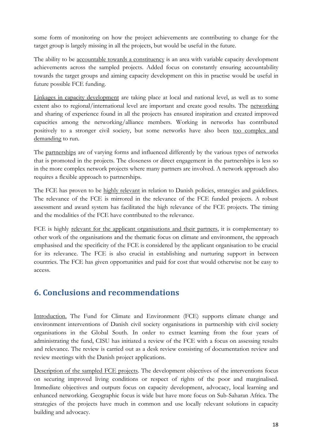some form of monitoring on how the project achievements are contributing to change for the target group is largely missing in all the projects, but would be useful in the future.

The ability to be <u>accountable towards a constituency</u> is an area with variable capacity development achievements across the sampled projects. Added focus on constantly ensuring accountability towards the target groups and aiming capacity development on this in practise would be useful in future possible FCE funding.

Linkages in capacity development are taking place at local and national level, as well as to some extent also to regional/international level are important and create good results. The networking and sharing of experience found in all the projects has ensured inspiration and created improved capacities among the networking/alliance members. Working in networks has contributed positively to a stronger civil society, but some networks have also been too complex and demanding to run.

The partnerships are of varying forms and influenced differently by the various types of networks that is promoted in the projects. The closeness or direct engagement in the partnerships is less so in the more complex network projects where many partners are involved. A network approach also requires a flexible approach to partnerships.

The FCE has proven to be highly relevant in relation to Danish policies, strategies and guidelines. The relevance of the FCE is mirrored in the relevance of the FCE funded projects. A robust assessment and award system has facilitated the high relevance of the FCE projects. The timing and the modalities of the FCE have contributed to the relevance.

FCE is highly relevant for the applicant organisations and their partners, it is complementary to other work of the organisations and the thematic focus on climate and environment, the approach emphasised and the specificity of the FCE is considered by the applicant organisation to be crucial for its relevance. The FCE is also crucial in establishing and nurturing support in between countries. The FCE has given opportunities and paid for cost that would otherwise not be easy to access.

# **6. Conclusions and recommendations**

Introduction. The Fund for Climate and Environment (FCE) supports climate change and environment interventions of Danish civil society organisations in partnership with civil society organisations in the Global South. In order to extract learning from the four years of administrating the fund, CISU has initiated a review of the FCE with a focus on assessing results and relevance. The review is carried out as a desk review consisting of documentation review and review meetings with the Danish project applications.

Description of the sampled FCE projects. The development objectives of the interventions focus on securing improved living conditions or respect of rights of the poor and marginalised. Immediate objectives and outputs focus on capacity development, advocacy, local learning and enhanced networking. Geographic focus is wide but have more focus on Sub-Saharan Africa. The strategies of the projects have much in common and use locally relevant solutions in capacity building and advocacy.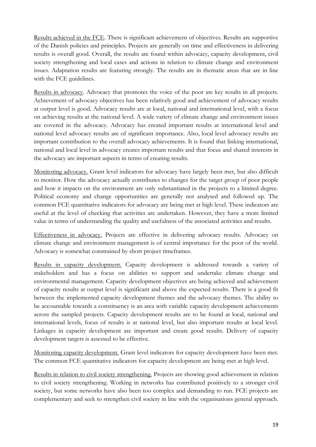Results achieved in the FCE. There is significant achievement of objectives. Results are supportive of the Danish policies and principles. Projects are generally on time and effectiveness in delivering results is overall good. Overall, the results are found within advocacy, capacity development, civil society strengthening and local cases and actions in relation to climate change and environment issues. Adaptation results are featuring strongly. The results are in thematic areas that are in line with the FCE guidelines.

Results in advocacy. Advocacy that promotes the voice of the poor are key results in all projects. Achievement of advocacy objectives has been relatively good and achievement of advocacy results at output level is good. Advocacy results are at local, national and international level, with a focus on achieving results at the national level. A wide variety of climate change and environment issues are covered in the advocacy. Advocacy has created important results at international level and national level advocacy results are of significant importance. Also, local level advocacy results are important contribution to the overall advocacy achievements. It is found that linking international, national and local level in advocacy creates important results and that focus and shared interests in the advocacy are important aspects in terms of creating results.

Monitoring advocacy. Grant level indicators for advocacy have largely been met, but also difficult to monitor. How the advocacy actually contributes to changes for the target group of poor people and how it impacts on the environment are only substantiated in the projects to a limited degree. Political economy and change opportunities are generally not analysed and followed up. The common FCE quantitative indicators for advocacy are being met at high level. These indicators are useful at the level of checking that activities are undertaken. However, they have a more limited value in terms of understanding the quality and usefulness of the associated activities and results.

Effectiveness in advocacy. Projects are effective in delivering advocacy results. Advocacy on climate change and environment management is of central importance for the poor of the world. Advocacy is somewhat constrained by short project timeframes.

Results in capacity development. Capacity development is addressed towards a variety of stakeholders and has a focus on abilities to support and undertake climate change and environmental management. Capacity development objectives are being achieved and achievement of capacity results at output level is significant and above the expected results. There is a good fit between the implemented capacity development themes and the advocacy themes. The ability to be accountable towards a constituency is an area with variable capacity development achievements across the sampled projects. Capacity development results are to be found at local, national and international levels, focus of results is at national level, but also important results at local level. Linkages in capacity development are important and create good results. Delivery of capacity development targets is assessed to be effective.

Monitoring capacity development. Grant level indicators for capacity development have been met. The common FCE quantitative indicators for capacity development are being met at high level.

Results in relation to civil society strengthening. Projects are showing good achievement in relation to civil society strengthening. Working in networks has contributed positively to a stronger civil society, but some networks have also been too complex and demanding to run. FCE projects are complementary and seek to strengthen civil society in line with the organisations general approach.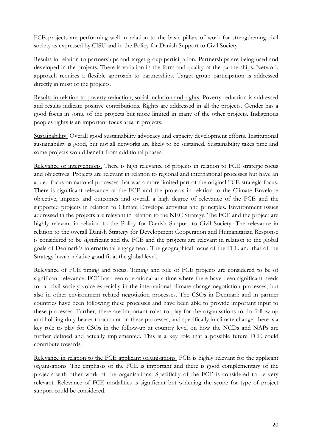FCE projects are performing well in relation to the basic pillars of work for strengthening civil society as expressed by CISU and in the Policy for Danish Support to Civil Society.

Results in relation to partnerships and target group participation. Partnerships are being used and developed in the projects. There is variation in the form and quality of the partnerships. Network approach requires a flexible approach to partnerships. Target group participation is addressed directly in most of the projects.

Results in relation to poverty reduction, social inclusion and rights. Poverty reduction is addressed and results indicate positive contributions. Rights are addressed in all the projects. Gender has a good focus in some of the projects but more limited in many of the other projects. Indigenous peoples rights is an important focus area in projects.

Sustainability. Overall good sustainability advocacy and capacity development efforts. Institutional sustainability is good, but not all networks are likely to be sustained. Sustainability takes time and some projects would benefit from additional phases.

Relevance of interventions. There is high relevance of projects in relation to FCE strategic focus and objectives. Projects are relevant in relation to regional and international processes but have an added focus on national processes that was a more limited part of the original FCE strategic focus. There is significant relevance of the FCE and the projects in relation to the Climate Envelope objective, impacts and outcomes and overall a high degree of relevance of the FCE and the supported projects in relation to Climate Envelope activities and principles. Environment issues addressed in the projects are relevant in relation to the NEC Strategy. The FCE and the project are highly relevant in relation to the Policy for Danish Support to Civil Society. The relevance in relation to the overall Danish Strategy for Development Cooperation and Humanitarian Response is considered to be significant and the FCE and the projects are relevant in relation to the global goals of Denmark's international engagement. The geographical focus of the FCE and that of the Strategy have a relative good fit at the global level.

Relevance of FCE timing and focus. Timing and role of FCE projects are considered to be of significant relevance. FCE has been operational at a time where there have been significant needs for at civil society voice especially in the international climate change negotiation processes, but also in other environment related negotiation processes. The CSOs in Denmark and in partner countries have been following these processes and have been able to provide important input to these processes. Further, there are important roles to play for the organisations to do follow-up and holding duty-bearer to account on these processes, and specifically in climate change, there is a key role to play for CSOs in the follow-up at country level on how the NCDs and NAPs are further defined and actually implemented. This is a key role that a possible future FCE could contribute towards.

Relevance in relation to the FCE applicant organisations. FCE is highly relevant for the applicant organisations. The emphasis of the FCE is important and there is good complementary of the projects with other work of the organisations. Specificity of the FCE is considered to be very relevant. Relevance of FCE modalities is significant but widening the scope for type of project support could be considered.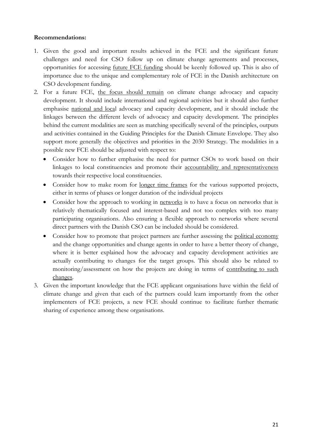#### **Recommendations:**

- 1. Given the good and important results achieved in the FCE and the significant future challenges and need for CSO follow up on climate change agreements and processes, opportunities for accessing future FCE funding should be keenly followed up. This is also of importance due to the unique and complementary role of FCE in the Danish architecture on CSO development funding.
- 2. For a future FCE, the focus should remain on climate change advocacy and capacity development. It should include international and regional activities but it should also further emphasise national and local advocacy and capacity development, and it should include the linkages between the different levels of advocacy and capacity development. The principles behind the current modalities are seen as matching specifically several of the principles, outputs and activities contained in the Guiding Principles for the Danish Climate Envelope. They also support more generally the objectives and priorities in the 2030 Strategy. The modalities in a possible new FCE should be adjusted with respect to:
	- Consider how to further emphasise the need for partner CSOs to work based on their linkages to local constituencies and promote their accountability and representativeness towards their respective local constituencies.
	- Consider how to make room for <u>longer time frames</u> for the various supported projects, either in terms of phases or longer duration of the individual projects
	- Consider how the approach to working in networks is to have a focus on networks that is relatively thematically focused and interest-based and not too complex with too many participating organisations. Also ensuring a flexible approach to networks where several direct partners with the Danish CSO can be included should be considered.
	- Consider how to promote that project partners are further assessing the political economy and the change opportunities and change agents in order to have a better theory of change, where it is better explained how the advocacy and capacity development activities are actually contributing to changes for the target groups. This should also be related to monitoring/assessment on how the projects are doing in terms of contributing to such changes.
- 3. Given the important knowledge that the FCE applicant organisations have within the field of climate change and given that each of the partners could learn importantly from the other implementers of FCE projects, a new FCE should continue to facilitate further thematic sharing of experience among these organisations.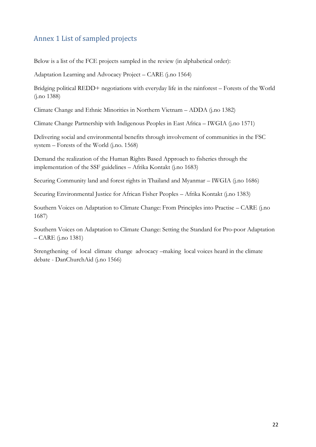## Annex 1 List of sampled projects

Below is a list of the FCE projects sampled in the review (in alphabetical order):

Adaptation Learning and Advocacy Project – CARE (j.no 1564)

Bridging political REDD+ negotiations with everyday life in the rainforest – Forests of the World (j.no 1388)

Climate Change and Ethnic Minorities in Northern Vietnam – ADDA (j.no 1382)

Climate Change Partnership with Indigenous Peoples in East Africa – IWGIA (j.no 1571)

Delivering social and environmental benefits through involvement of communities in the FSC system – Forests of the World (j.no. 1568)

Demand the realization of the Human Rights Based Approach to fisheries through the implementation of the SSF guidelines – Afrika Kontakt (j.no 1683)

Securing Community land and forest rights in Thailand and Myanmar – IWGIA (j.no 1686)

Securing Environmental Justice for African Fisher Peoples – Afrika Kontakt (j.no 1383)

Southern Voices on Adaptation to Climate Change: From Principles into Practise – CARE (j.no 1687)

Southern Voices on Adaptation to Climate Change: Setting the Standard for Pro-poor Adaptation – CARE (j.no 1381)

Strengthening of local climate change advocacy –making local voices heard in the climate debate - DanChurchAid (j.no 1566)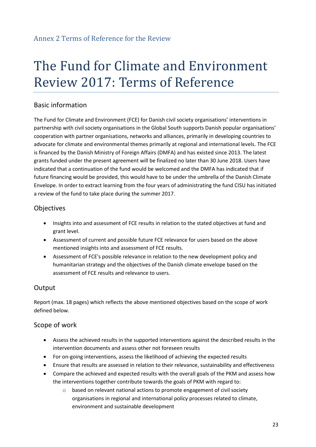## Annex 2 Terms of Reference for the Review

# The Fund for Climate and Environment Review 2017: Terms of Reference

## Basic information

The Fund for Climate and Environment (FCE) for Danish civil society organisations' interventions in partnership with civil society organisations in the Global South supports Danish popular organisations' cooperation with partner organisations, networks and alliances, primarily in developing countries to advocate for climate and environmental themes primarily at regional and international levels. The FCE is financed by the Danish Ministry of Foreign Affairs (DMFA) and has existed since 2013. The latest grants funded under the present agreement will be finalized no later than 30 June 2018. Users have indicated that a continuation of the fund would be welcomed and the DMFA has indicated that if future financing would be provided, this would have to be under the umbrella of the Danish Climate Envelope. In order to extract learning from the four years of administrating the fund CISU has initiated a review of the fund to take place during the summer 2017.

## **Objectives**

- Insights into and assessment of FCE results in relation to the stated objectives at fund and grant level.
- Assessment of current and possible future FCE relevance for users based on the above mentioned insights into and assessment of FCE results.
- Assessment of FCE's possible relevance in relation to the new development policy and humanitarian strategy and the objectives of the Danish climate envelope based on the assessment of FCE results and relevance to users.

## **Output**

Report (max. 18 pages) which reflects the above mentioned objectives based on the scope of work defined below.

#### Scope of work

- Assess the achieved results in the supported interventions against the described results in the intervention documents and assess other not foreseen results
- For on-going interventions, assess the likelihood of achieving the expected results
- Ensure that results are assessed in relation to their relevance, sustainability and effectiveness
- Compare the achieved and expected results with the overall goals of the PKM and assess how the interventions together contribute towards the goals of PKM with regard to:
	- o based on relevant national actions to promote engagement of civil society organisations in regional and international policy processes related to climate, environment and sustainable development